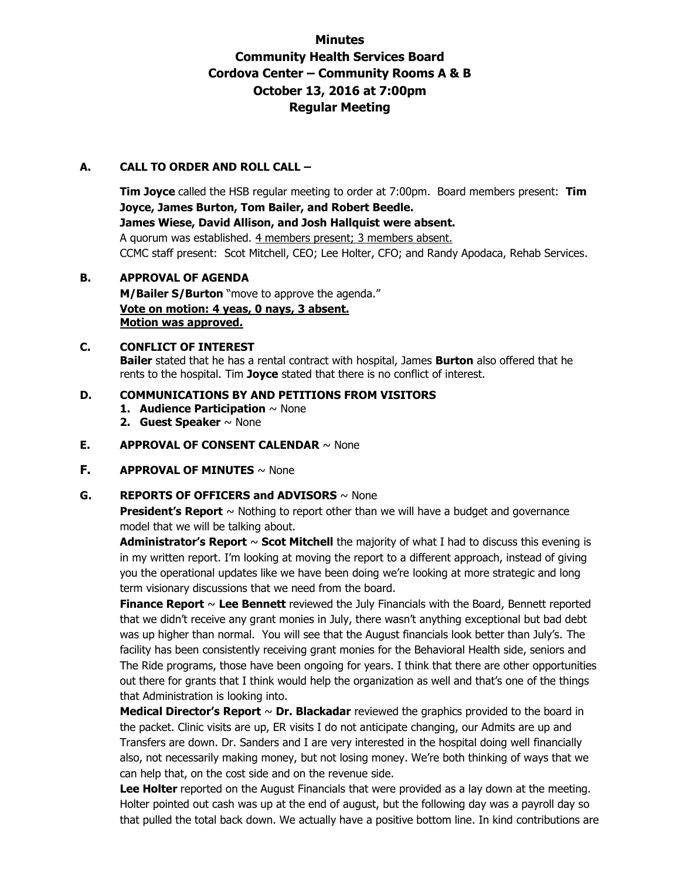# **Minutes Community Health Services Board Cordova Center – Community Rooms A & B October 13, 2016 at 7:00pm Regular Meeting**

### **A. CALL TO ORDER AND ROLL CALL –**

**Tim Joyce** called the HSB regular meeting to order at 7:00pm. Board members present: **Tim Joyce, James Burton, Tom Bailer, and Robert Beedle. James Wiese, David Allison, and Josh Hallquist were absent.**  A quorum was established. 4 members present; 3 members absent. CCMC staff present: Scot Mitchell, CEO; Lee Holter, CFO; and Randy Apodaca, Rehab Services.

# **B. APPROVAL OF AGENDA**

**M/Bailer S/Burton** "move to approve the agenda." **Vote on motion: 4 yeas, 0 nays, 3 absent. Motion was approved.**

### **C. CONFLICT OF INTEREST**

**Bailer** stated that he has a rental contract with hospital, James **Burton** also offered that he rents to the hospital. Tim **Joyce** stated that there is no conflict of interest.

#### **D. COMMUNICATIONS BY AND PETITIONS FROM VISITORS**

- **1. Audience Participation** ~ None
- **2. Guest Speaker** ~ None

#### **E. APPROVAL OF CONSENT CALENDAR** ~ None

**F. APPROVAL OF MINUTES** ~ None

#### **G. REPORTS OF OFFICERS and ADVISORS** ~ None

**President's Report** ~ Nothing to report other than we will have a budget and governance model that we will be talking about.

**Administrator's Report** ~ **Scot Mitchell** the majority of what I had to discuss this evening is in my written report. I'm looking at moving the report to a different approach, instead of giving you the operational updates like we have been doing we're looking at more strategic and long term visionary discussions that we need from the board.

**Finance Report** ~ **Lee Bennett** reviewed the July Financials with the Board, Bennett reported that we didn't receive any grant monies in July, there wasn't anything exceptional but bad debt was up higher than normal. You will see that the August financials look better than July's. The facility has been consistently receiving grant monies for the Behavioral Health side, seniors and The Ride programs, those have been ongoing for years. I think that there are other opportunities out there for grants that I think would help the organization as well and that's one of the things that Administration is looking into.

**Medical Director's Report** ~ **Dr. Blackadar** reviewed the graphics provided to the board in the packet. Clinic visits are up, ER visits I do not anticipate changing, our Admits are up and Transfers are down. Dr. Sanders and I are very interested in the hospital doing well financially also, not necessarily making money, but not losing money. We're both thinking of ways that we can help that, on the cost side and on the revenue side.

Lee Holter reported on the August Financials that were provided as a lay down at the meeting. Holter pointed out cash was up at the end of august, but the following day was a payroll day so that pulled the total back down. We actually have a positive bottom line. In kind contributions are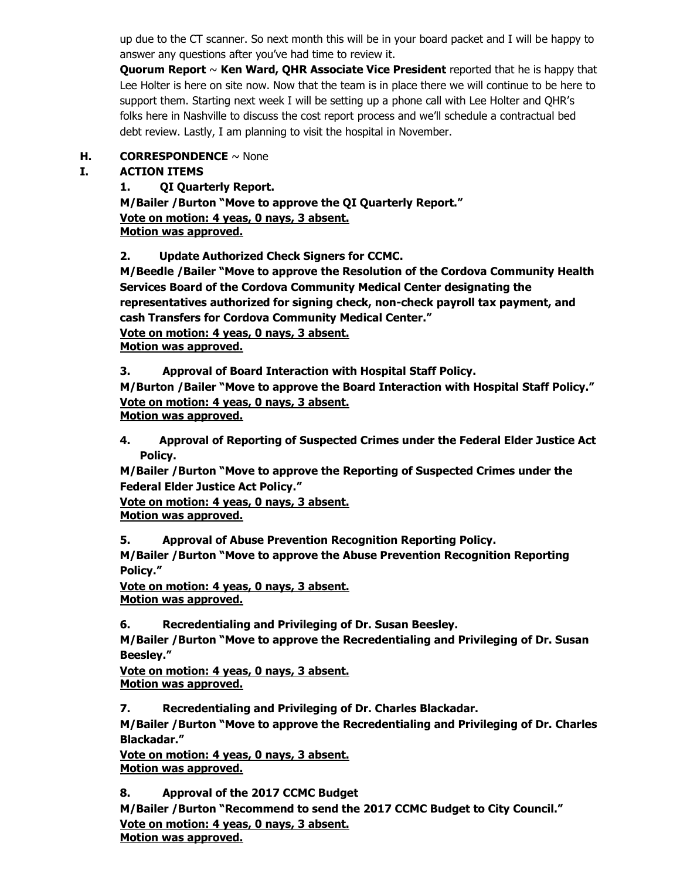up due to the CT scanner. So next month this will be in your board packet and I will be happy to answer any questions after you've had time to review it.

**Quorum Report** ~ **Ken Ward, QHR Associate Vice President** reported that he is happy that Lee Holter is here on site now. Now that the team is in place there we will continue to be here to support them. Starting next week I will be setting up a phone call with Lee Holter and QHR's folks here in Nashville to discuss the cost report process and we'll schedule a contractual bed debt review. Lastly, I am planning to visit the hospital in November.

# **H. CORRESPONDENCE** ~ None

# **I. ACTION ITEMS**

**1. QI Quarterly Report. M/Bailer /Burton "Move to approve the QI Quarterly Report."**

**Vote on motion: 4 yeas, 0 nays, 3 absent.** 

**Motion was approved.**

**2. Update Authorized Check Signers for CCMC.** 

**M/Beedle /Bailer "Move to approve the Resolution of the Cordova Community Health Services Board of the Cordova Community Medical Center designating the representatives authorized for signing check, non-check payroll tax payment, and cash Transfers for Cordova Community Medical Center."**

**Vote on motion: 4 yeas, 0 nays, 3 absent.** 

**Motion was approved.** 

**3. Approval of Board Interaction with Hospital Staff Policy.** 

**M/Burton /Bailer "Move to approve the Board Interaction with Hospital Staff Policy." Vote on motion: 4 yeas, 0 nays, 3 absent.** 

**Motion was approved.** 

**4. Approval of Reporting of Suspected Crimes under the Federal Elder Justice Act Policy.** 

**M/Bailer /Burton "Move to approve the Reporting of Suspected Crimes under the Federal Elder Justice Act Policy."**

**Vote on motion: 4 yeas, 0 nays, 3 absent.** 

**Motion was approved.** 

**5. Approval of Abuse Prevention Recognition Reporting Policy.** 

**M/Bailer /Burton "Move to approve the Abuse Prevention Recognition Reporting Policy."**

**Vote on motion: 4 yeas, 0 nays, 3 absent. Motion was approved.** 

**6. Recredentialing and Privileging of Dr. Susan Beesley.** 

**M/Bailer /Burton "Move to approve the Recredentialing and Privileging of Dr. Susan Beesley."**

**Vote on motion: 4 yeas, 0 nays, 3 absent. Motion was approved.** 

**7. Recredentialing and Privileging of Dr. Charles Blackadar.** 

**M/Bailer /Burton "Move to approve the Recredentialing and Privileging of Dr. Charles Blackadar."**

**Vote on motion: 4 yeas, 0 nays, 3 absent. Motion was approved.** 

**8. Approval of the 2017 CCMC Budget M/Bailer /Burton "Recommend to send the 2017 CCMC Budget to City Council." Vote on motion: 4 yeas, 0 nays, 3 absent. Motion was approved.**